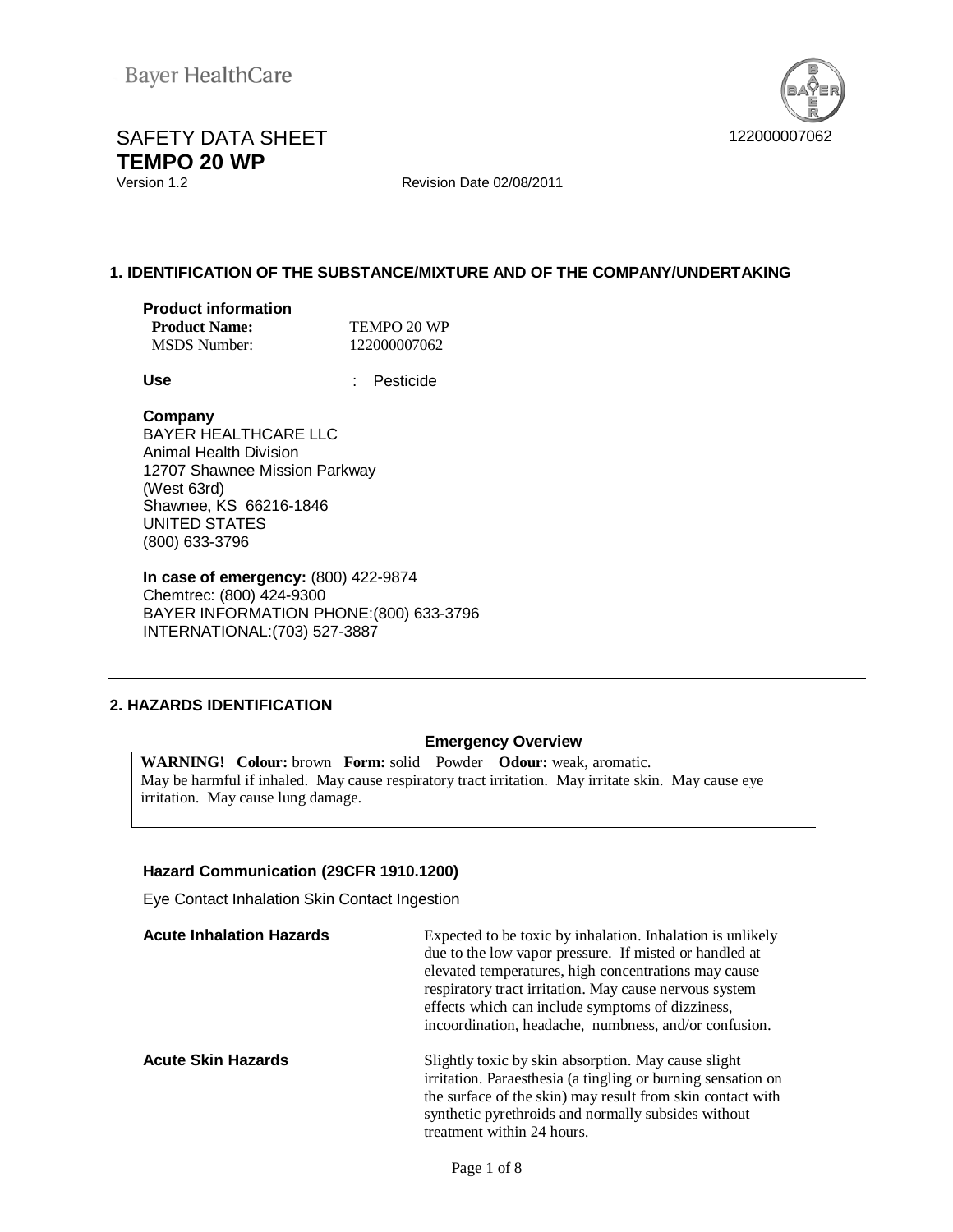

# SAFETY DATA SHEET 422000007062 **TEMPO 20 WP**<br>Version 1.2

Revision Date 02/08/2011

# **1. IDENTIFICATION OF THE SUBSTANCE/MIXTURE AND OF THE COMPANY/UNDERTAKING**

| <b>Product information</b> |     |
|----------------------------|-----|
| <b>Product Name:</b>       | TEN |

| <b>Product Name:</b> | TEMPO 20 WP  |
|----------------------|--------------|
| <b>MSDS</b> Number:  | 122000007062 |

**Use** : Pesticide

# **Company**

BAYER HEALTHCARE LLC Animal Health Division 12707 Shawnee Mission Parkway (West 63rd) Shawnee, KS 66216-1846 UNITED STATES (800) 633-3796

**In case of emergency:** (800) 422-9874 Chemtrec: (800) 424-9300 BAYER INFORMATION PHONE:(800) 633-3796 INTERNATIONAL:(703) 527-3887

# **2. HAZARDS IDENTIFICATION**

# **Emergency Overview**

**WARNING! Colour:** brown **Form:** solid Powder **Odour:** weak, aromatic. May be harmful if inhaled. May cause respiratory tract irritation. May irritate skin. May cause eye irritation. May cause lung damage.

# **Hazard Communication (29CFR 1910.1200)**

Eye Contact Inhalation Skin Contact Ingestion

| <b>Acute Inhalation Hazards</b> | Expected to be toxic by inhalation. Inhalation is unlikely<br>due to the low vapor pressure. If misted or handled at<br>elevated temperatures, high concentrations may cause<br>respiratory tract irritation. May cause nervous system<br>effects which can include symptoms of dizziness,<br>incoordination, headache, numbress, and/or confusion. |
|---------------------------------|-----------------------------------------------------------------------------------------------------------------------------------------------------------------------------------------------------------------------------------------------------------------------------------------------------------------------------------------------------|
| <b>Acute Skin Hazards</b>       | Slightly toxic by skin absorption. May cause slight<br>irritation. Paraesthesia (a tingling or burning sensation on<br>the surface of the skin) may result from skin contact with<br>synthetic pyrethroids and normally subsides without<br>treatment within 24 hours.                                                                              |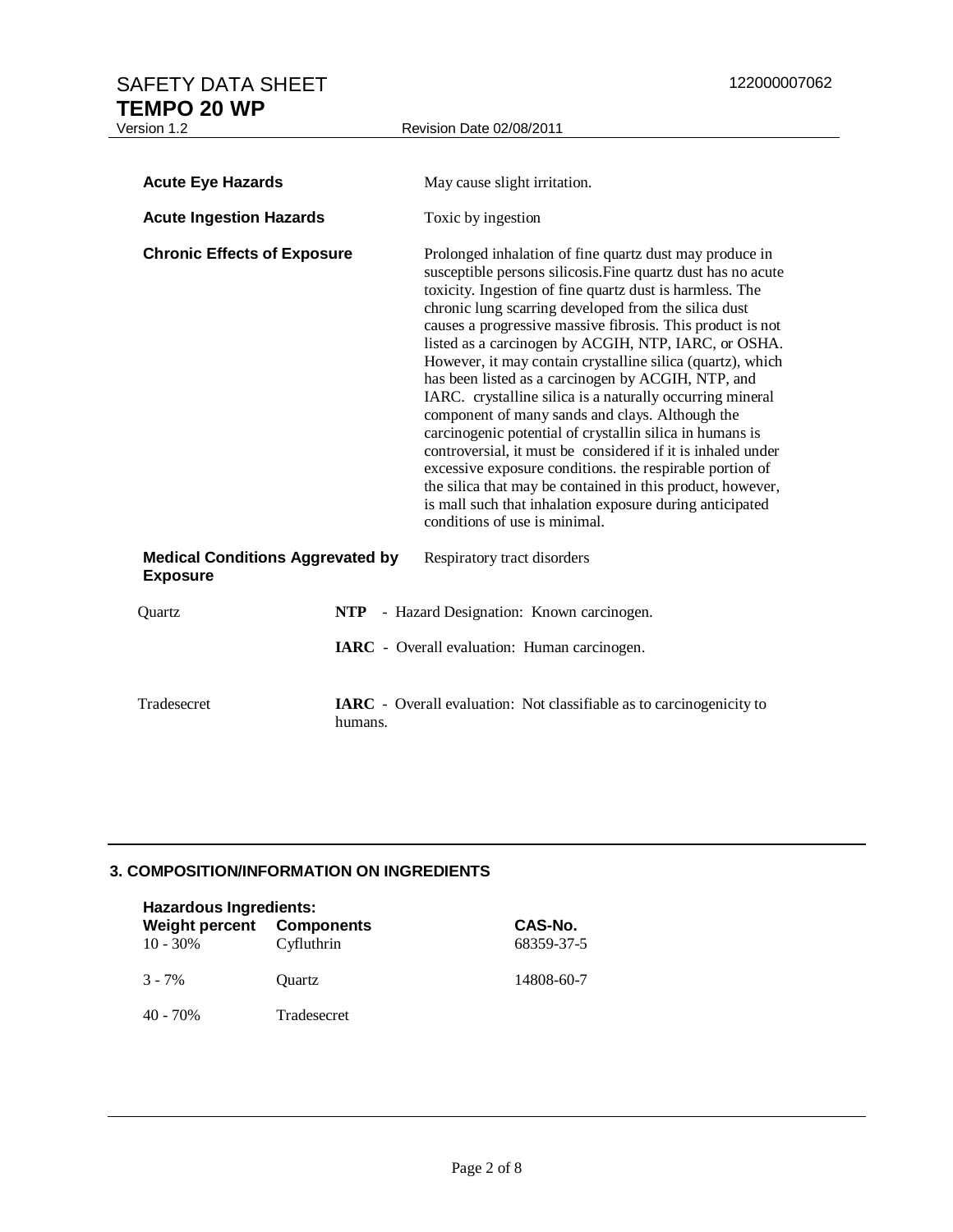| <b>Acute Eye Hazards</b>                                   |         | May cause slight irritation.                                                                                                                                                                                                                                                                                                                                                                                                                                                                                                                                                                                                                                                                                                                                                                                                                                                                                                                            |
|------------------------------------------------------------|---------|---------------------------------------------------------------------------------------------------------------------------------------------------------------------------------------------------------------------------------------------------------------------------------------------------------------------------------------------------------------------------------------------------------------------------------------------------------------------------------------------------------------------------------------------------------------------------------------------------------------------------------------------------------------------------------------------------------------------------------------------------------------------------------------------------------------------------------------------------------------------------------------------------------------------------------------------------------|
| <b>Acute Ingestion Hazards</b>                             |         | Toxic by ingestion                                                                                                                                                                                                                                                                                                                                                                                                                                                                                                                                                                                                                                                                                                                                                                                                                                                                                                                                      |
| <b>Chronic Effects of Exposure</b>                         |         | Prolonged inhalation of fine quartz dust may produce in<br>susceptible persons silicosis. Fine quartz dust has no acute<br>toxicity. Ingestion of fine quartz dust is harmless. The<br>chronic lung scarring developed from the silica dust<br>causes a progressive massive fibrosis. This product is not<br>listed as a carcinogen by ACGIH, NTP, IARC, or OSHA.<br>However, it may contain crystalline silica (quartz), which<br>has been listed as a carcinogen by ACGIH, NTP, and<br>IARC. crystalline silica is a naturally occurring mineral<br>component of many sands and clays. Although the<br>carcinogenic potential of crystallin silica in humans is<br>controversial, it must be considered if it is inhaled under<br>excessive exposure conditions. the respirable portion of<br>the silica that may be contained in this product, however,<br>is mall such that inhalation exposure during anticipated<br>conditions of use is minimal. |
| <b>Medical Conditions Aggrevated by</b><br><b>Exposure</b> |         | Respiratory tract disorders                                                                                                                                                                                                                                                                                                                                                                                                                                                                                                                                                                                                                                                                                                                                                                                                                                                                                                                             |
| Ouartz                                                     |         | NTP - Hazard Designation: Known carcinogen.                                                                                                                                                                                                                                                                                                                                                                                                                                                                                                                                                                                                                                                                                                                                                                                                                                                                                                             |
|                                                            |         | IARC - Overall evaluation: Human carcinogen.                                                                                                                                                                                                                                                                                                                                                                                                                                                                                                                                                                                                                                                                                                                                                                                                                                                                                                            |
| Tradesecret                                                | humans. | <b>IARC</b> - Overall evaluation: Not classifiable as to carcinogenicity to                                                                                                                                                                                                                                                                                                                                                                                                                                                                                                                                                                                                                                                                                                                                                                                                                                                                             |

# **3. COMPOSITION/INFORMATION ON INGREDIENTS**

| <b>Hazardous Ingredients:</b><br><b>Weight percent Components</b><br>$10 - 30\%$<br>Cyfluthrin |             | CAS-No.<br>68359-37-5 |
|------------------------------------------------------------------------------------------------|-------------|-----------------------|
| $3 - 7\%$                                                                                      | Ouartz      | 14808-60-7            |
| 40 - 70%                                                                                       | Tradesecret |                       |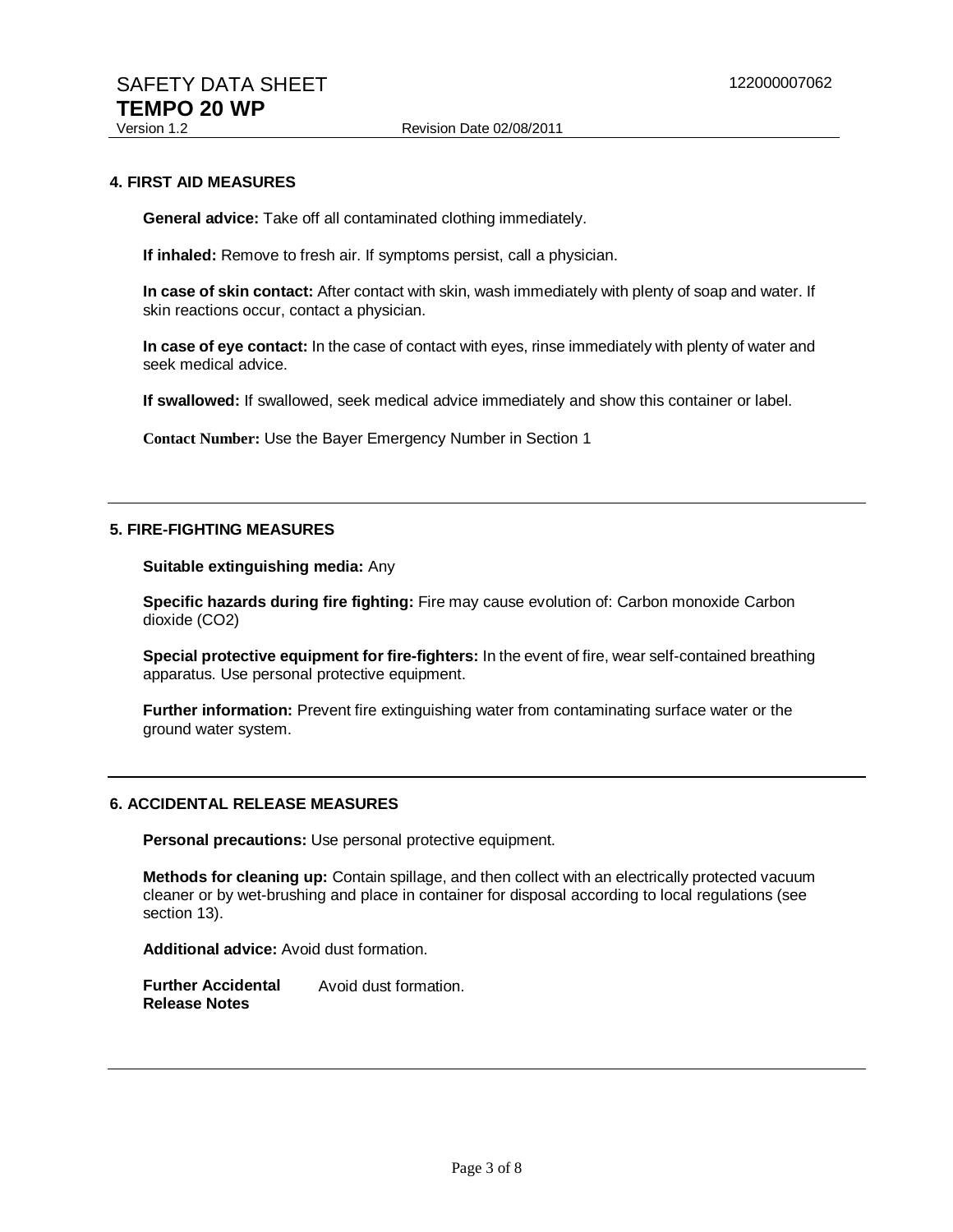#### **4. FIRST AID MEASURES**

**General advice:** Take off all contaminated clothing immediately.

**If inhaled:** Remove to fresh air. If symptoms persist, call a physician.

**In case of skin contact:** After contact with skin, wash immediately with plenty of soap and water. If skin reactions occur, contact a physician.

**In case of eye contact:** In the case of contact with eyes, rinse immediately with plenty of water and seek medical advice.

**If swallowed:** If swallowed, seek medical advice immediately and show this container or label.

**Contact Number:** Use the Bayer Emergency Number in Section 1

#### **5. FIRE-FIGHTING MEASURES**

**Suitable extinguishing media:** Any

**Specific hazards during fire fighting:** Fire may cause evolution of: Carbon monoxide Carbon dioxide (CO2)

**Special protective equipment for fire-fighters:** In the event of fire, wear self-contained breathing apparatus. Use personal protective equipment.

**Further information:** Prevent fire extinguishing water from contaminating surface water or the ground water system.

# **6. ACCIDENTAL RELEASE MEASURES**

**Personal precautions:** Use personal protective equipment.

**Methods for cleaning up:** Contain spillage, and then collect with an electrically protected vacuum cleaner or by wet-brushing and place in container for disposal according to local regulations (see section 13).

**Additional advice:** Avoid dust formation.

**Further Accidental Release Notes** Avoid dust formation.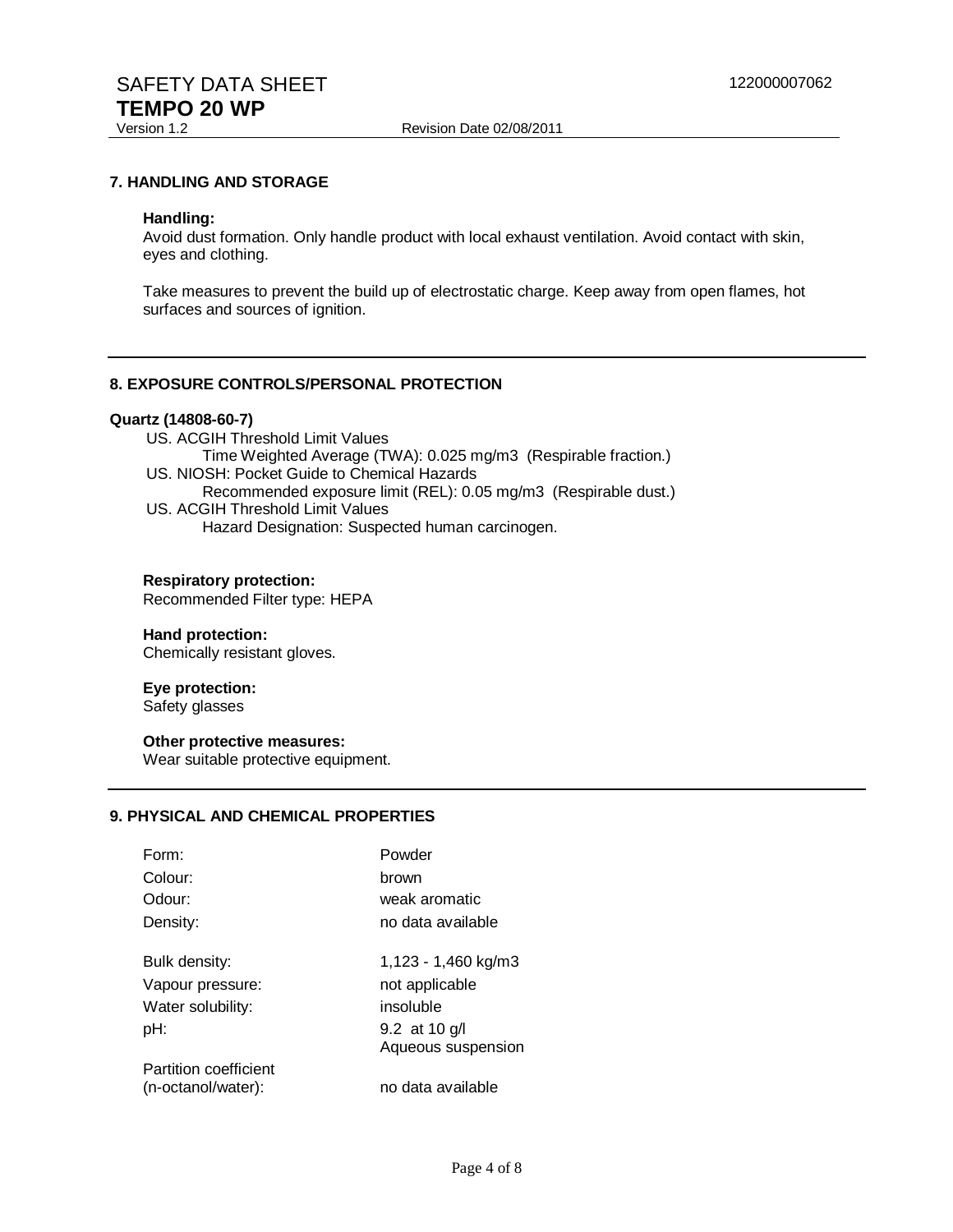Revision Date 02/08/2011

### **7. HANDLING AND STORAGE**

#### **Handling:**

Avoid dust formation. Only handle product with local exhaust ventilation. Avoid contact with skin, eyes and clothing.

Take measures to prevent the build up of electrostatic charge. Keep away from open flames, hot surfaces and sources of ignition.

#### **8. EXPOSURE CONTROLS/PERSONAL PROTECTION**

# **Quartz (14808-60-7)**

- US. ACGIH Threshold Limit Values
- Time Weighted Average (TWA): 0.025 mg/m3 (Respirable fraction.)
- US. NIOSH: Pocket Guide to Chemical Hazards
	- Recommended exposure limit (REL): 0.05 mg/m3 (Respirable dust.)
- US. ACGIH Threshold Limit Values Hazard Designation: Suspected human carcinogen.

#### **Respiratory protection:**

Recommended Filter type: HEPA

#### **Hand protection:**

Chemically resistant gloves.

# **Eye protection:**

Safety glasses

## **Other protective measures:**

Wear suitable protective equipment.

# **9. PHYSICAL AND CHEMICAL PROPERTIES**

| Form:                 | Powder              |
|-----------------------|---------------------|
| Colour:               | brown               |
| Odour:                | weak aromatic       |
| Density:              | no data available   |
| Bulk density:         | 1,123 - 1,460 kg/m3 |
| Vapour pressure:      | not applicable      |
| Water solubility:     | insoluble           |
| pH:                   | 9.2 at 10 g/l       |
|                       | Aqueous suspension  |
| Partition coefficient |                     |
| (n-octanol/water):    | no data available   |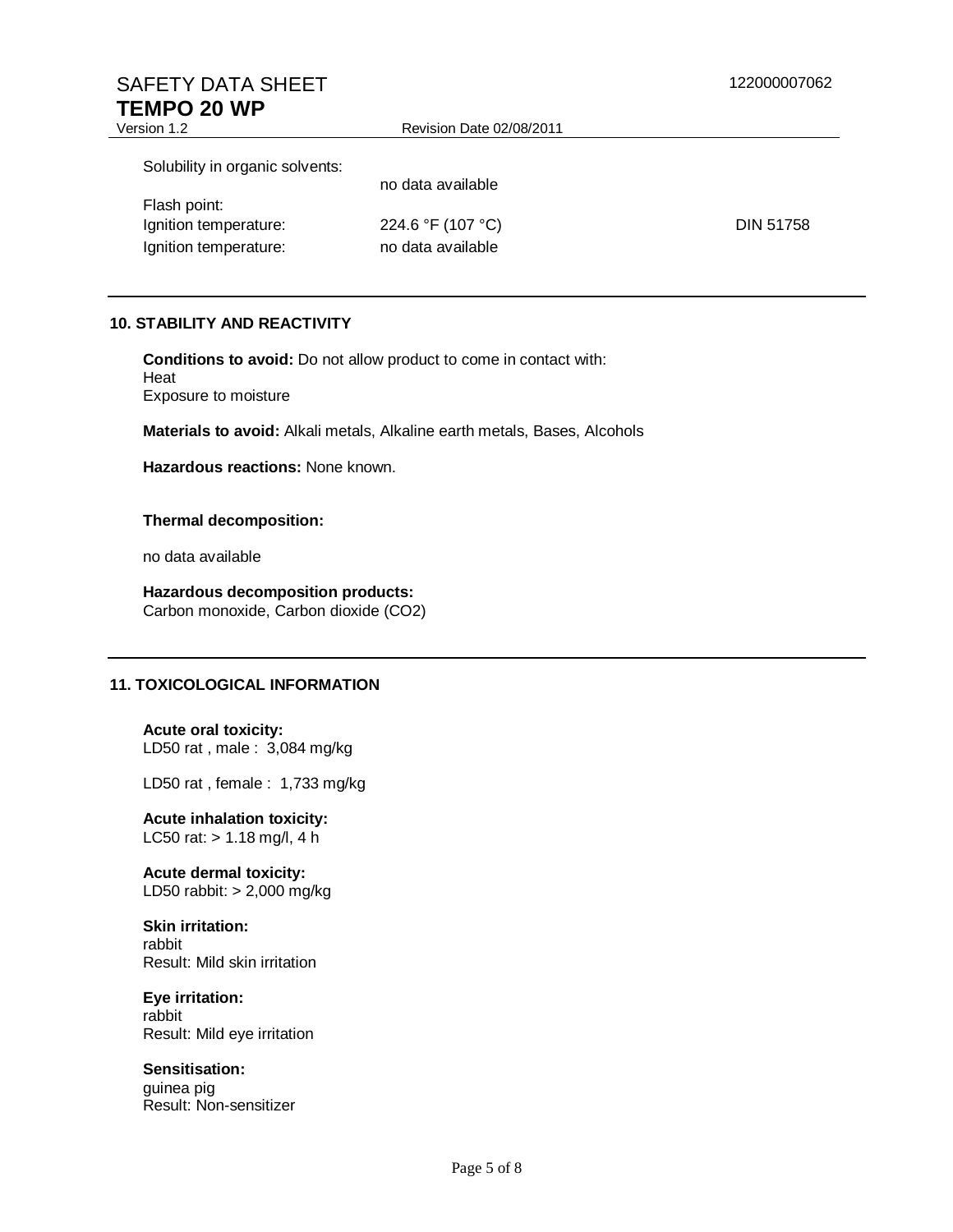# SAFETY DATA SHEET 122000007062 **TEMPO 20 WP**<br>Version 1.2

| Version 1.2                     | Revision Date 02/08/2011 |                  |
|---------------------------------|--------------------------|------------------|
| Solubility in organic solvents: |                          |                  |
|                                 | no data available        |                  |
| Flash point:                    |                          |                  |
| Ignition temperature:           | 224.6 °F (107 °C)        | <b>DIN 51758</b> |
| Ignition temperature:           | no data available        |                  |

## **10. STABILITY AND REACTIVITY**

**Conditions to avoid:** Do not allow product to come in contact with: Heat Exposure to moisture

**Materials to avoid:** Alkali metals, Alkaline earth metals, Bases, Alcohols

**Hazardous reactions:** None known.

#### **Thermal decomposition:**

no data available

**Hazardous decomposition products:**  Carbon monoxide, Carbon dioxide (CO2)

# **11. TOXICOLOGICAL INFORMATION**

**Acute oral toxicity:**  LD50 rat , male : 3,084 mg/kg

LD50 rat , female : 1,733 mg/kg

**Acute inhalation toxicity:**  LC50 rat: > 1.18 mg/l, 4 h

**Acute dermal toxicity:**  LD50 rabbit: > 2,000 mg/kg

# **Skin irritation:**

rabbit Result: Mild skin irritation

# **Eye irritation:**

rabbit Result: Mild eye irritation

# **Sensitisation:**

guinea pig Result: Non-sensitizer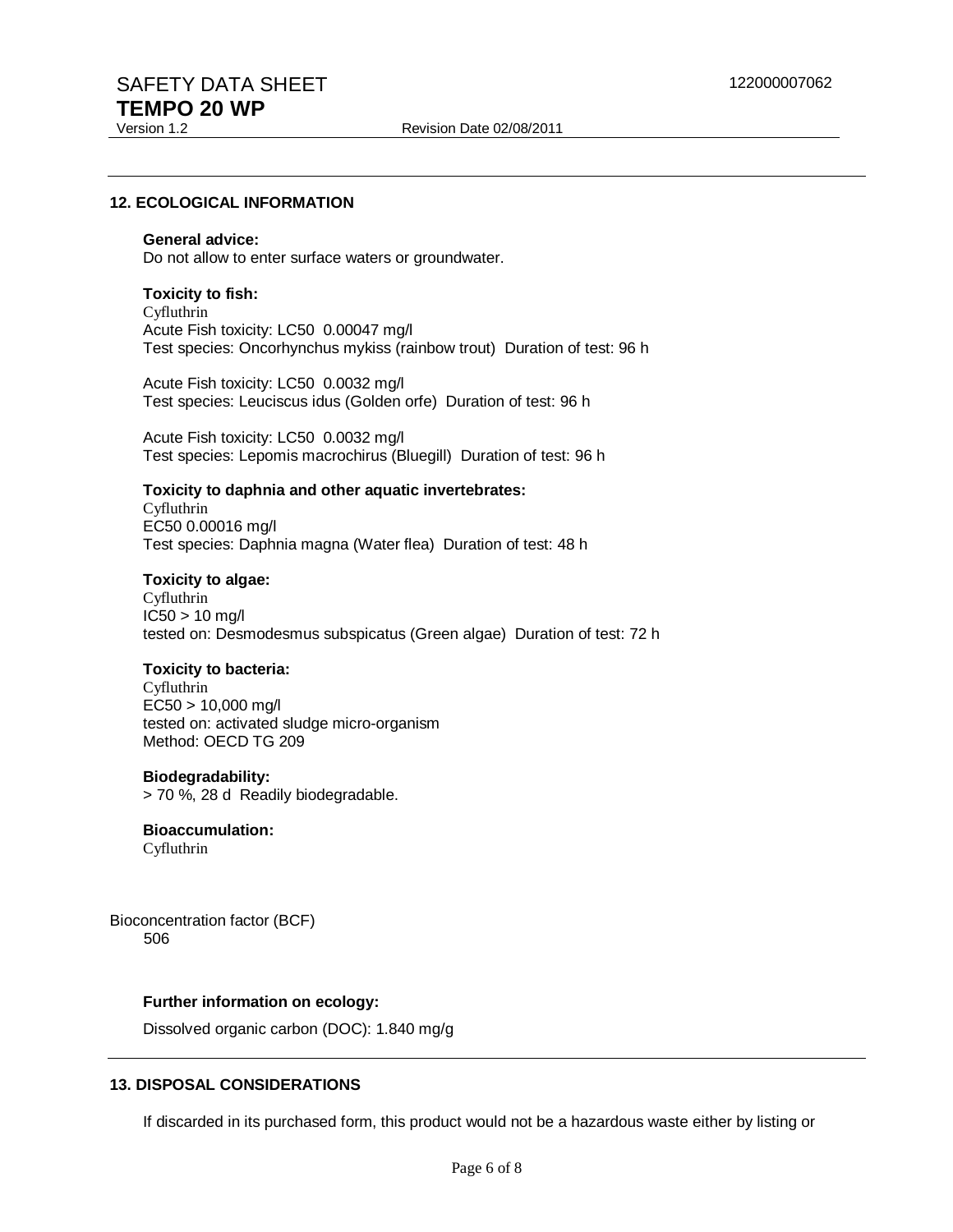#### **12. ECOLOGICAL INFORMATION**

#### **General advice:**

Do not allow to enter surface waters or groundwater.

#### **Toxicity to fish:**

Cyfluthrin Acute Fish toxicity: LC50 0.00047 mg/l Test species: Oncorhynchus mykiss (rainbow trout) Duration of test: 96 h

Acute Fish toxicity: LC50 0.0032 mg/l Test species: Leuciscus idus (Golden orfe) Duration of test: 96 h

Acute Fish toxicity: LC50 0.0032 mg/l Test species: Lepomis macrochirus (Bluegill) Duration of test: 96 h

# **Toxicity to daphnia and other aquatic invertebrates:**

Cyfluthrin EC50 0.00016 mg/l Test species: Daphnia magna (Water flea) Duration of test: 48 h

#### **Toxicity to algae:**

Cyfluthrin IC50 > 10 mg/l tested on: Desmodesmus subspicatus (Green algae) Duration of test: 72 h

#### **Toxicity to bacteria:**

Cyfluthrin EC50 > 10,000 mg/l tested on: activated sludge micro-organism Method: OECD TG 209

## **Biodegradability:**

> 70 %, 28 d Readily biodegradable.

# **Bioaccumulation:**

Cyfluthrin

Bioconcentration factor (BCF) 506

#### **Further information on ecology:**

Dissolved organic carbon (DOC): 1.840 mg/g

#### **13. DISPOSAL CONSIDERATIONS**

If discarded in its purchased form, this product would not be a hazardous waste either by listing or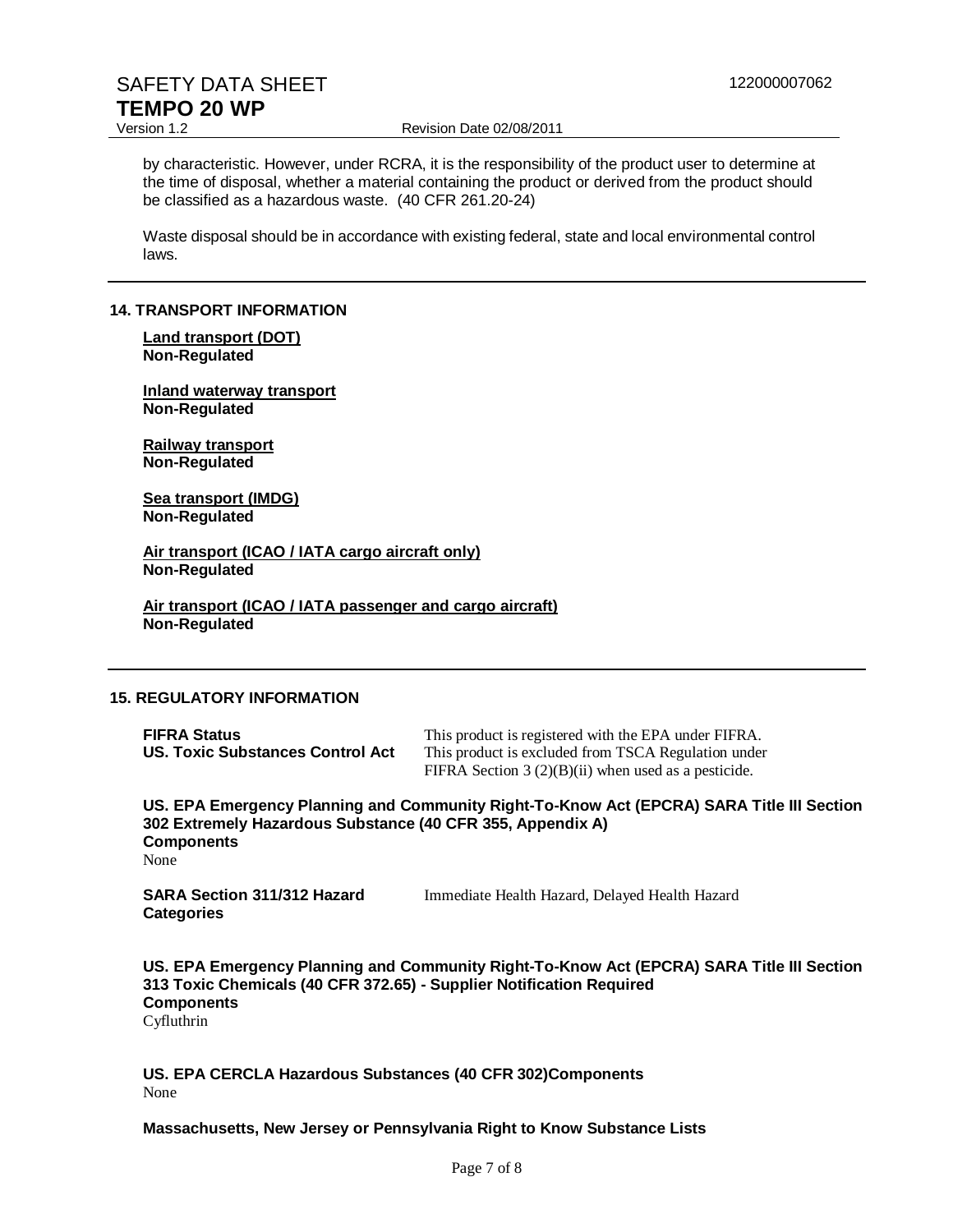# SAFETY DATA SHEET 122000007062 **TEMPO 20 WP**<br>Version 1.2

Revision Date 02/08/2011

by characteristic. However, under RCRA, it is the responsibility of the product user to determine at the time of disposal, whether a material containing the product or derived from the product should be classified as a hazardous waste. (40 CFR 261.20-24)

Waste disposal should be in accordance with existing federal, state and local environmental control laws.

## **14. TRANSPORT INFORMATION**

#### **Land transport (DOT) Non-Regulated**

**Inland waterway transport Non-Regulated**

**Railway transport Non-Regulated**

**Sea transport (IMDG) Non-Regulated**

**Air transport (ICAO / IATA cargo aircraft only) Non-Regulated**

**Air transport (ICAO / IATA passenger and cargo aircraft) Non-Regulated**

# **15. REGULATORY INFORMATION**

| <b>FIFRA Status</b>              | This product is registered with the EPA under FIFRA.  |
|----------------------------------|-------------------------------------------------------|
| US. Toxic Substances Control Act | This product is excluded from TSCA Regulation under   |
|                                  | FIFRA Section $3(2)(B)(ii)$ when used as a pesticide. |

**US. EPA Emergency Planning and Community Right-To-Know Act (EPCRA) SARA Title III Section 302 Extremely Hazardous Substance (40 CFR 355, Appendix A) Components**  None

| <b>SARA Section 311/312 Hazard</b> | Immediate Health Hazard, Delayed Health Hazard |
|------------------------------------|------------------------------------------------|
| <b>Categories</b>                  |                                                |

**US. EPA Emergency Planning and Community Right-To-Know Act (EPCRA) SARA Title III Section 313 Toxic Chemicals (40 CFR 372.65) - Supplier Notification Required Components**  Cyfluthrin

**US. EPA CERCLA Hazardous Substances (40 CFR 302)Components**  None

## **Massachusetts, New Jersey or Pennsylvania Right to Know Substance Lists**